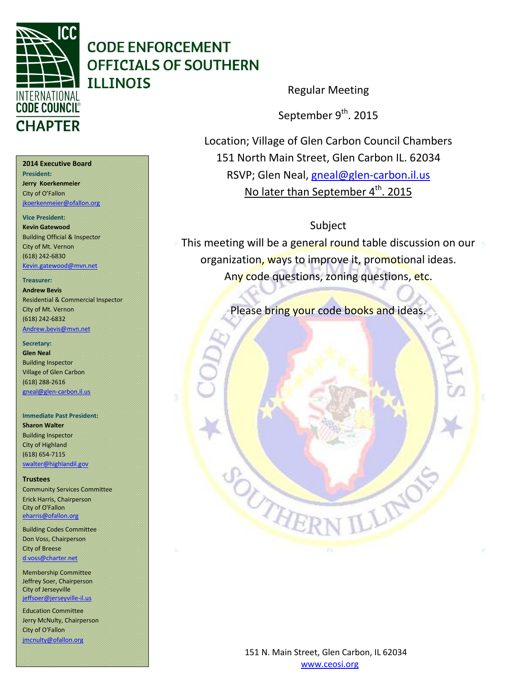

Regular Meeting

September 9<sup>th</sup>. 2015

Location; Village of Glen Carbon Council Chambers 151 North Main Street, Glen Carbon IL. 62034 RSVP; Glen Neal, [gneal@glen-carbon.il.us](mailto:gneal@glen-carbon.il.us) No later than September 4<sup>th</sup>. 2015

Subject

This meeting will be a general round table discussion on our organization, ways to improve it, promotional ideas. Any code questions, zoning questions, etc.

Please bring your code books and ideas.

**2014 Executive Board**

**President: Jerry Koerkenmeier** City of O'Fallon [jkoerkenmeier@ofallon.org](mailto:jkoerkenmeier@ofallon.org)

**Vice President:** 

**Kevin Gatewood** Building Official & Inspector

City of Mt. Vernon (618) 242-6830 [Kevin.gatewood@mvn.net](mailto:Kevin.gatewood@mvn.net)

**Treasurer:** 

**Andrew Bevis** Residential & Commercial Inspector City of Mt. Vernon (618) 242-6832

[Andrew.bevis@mvn.net](mailto:Andrew.bevis@mvn.net)

### **Secretary:**

**Glen Neal** Building Inspector Village of Glen Carbon (618) 288-2616 gneal@glen-carbon.il.us

**Immediate Past President:** 

**Sharon Walter** Building Inspector City of Highland (618) 654-7115 [swalter@highlandil.gov](mailto:swalter@highlandil.gov) 

### **Trustees**

Community Services Committee Erick Harris, Chairperson City of O'Fallon [eharris@ofallon.org](mailto:eharris@ofallon.org) 

Building Codes Committee Don Voss, Chairperson City of Breese [d.voss@charter.net](mailto:d.voss@charter.net)

Membership Committee Jeffrey Soer, Chairperson City of Jerseyville

[jeffsoer@jerseyville-il.us](mailto:jeffsoer@jerseyville-il.us)

Education Committee Jerry McNulty, Chairperson City of O'Fallon [jmcnulty@ofallon.org](mailto:jmcnulty@ofallon.org)

> 151 N. Main Street, Glen Carbon, IL 62034 www.ceosi.org

THE

LLIN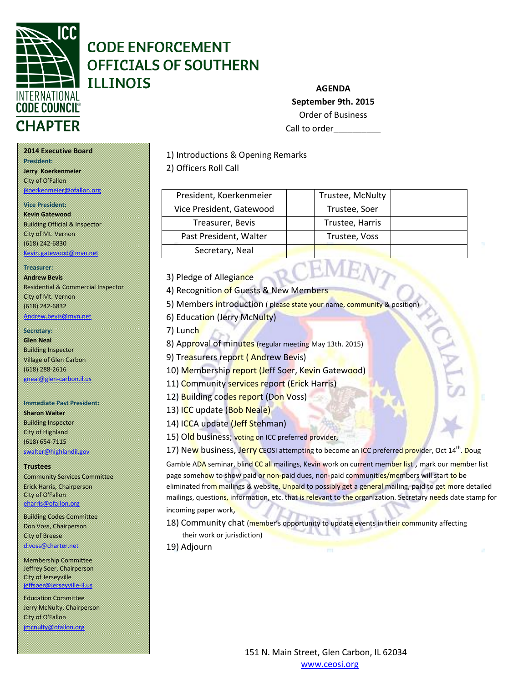

# **AGENDA September 9th. 2015** Order of Business Call to order

1) Introductions & Opening Remarks

### 2) Officers Roll Call

| President, Koerkenmeier  | Trustee, McNulty |  |
|--------------------------|------------------|--|
| Vice President, Gatewood | Trustee, Soer    |  |
| Treasurer, Bevis         | Trustee, Harris  |  |
| Past President, Walter   | Trustee, Voss    |  |
| Secretary, Neal          |                  |  |

3) Pledge of Allegiance

4) Recognition of Guests & New Members

5) Members introduction ( please state your name, community & position

6) Education (Jerry McNulty)

7) Lunch

8) Approval of minutes (regular meeting May 13th. 2015)

9) Treasurers report (Andrew Bevis)

10) Membership report (Jeff Soer, Kevin Gatewood)

11) Community services report (Erick Harris)

12) Building codes report (Don Voss)

13) ICC update (Bob Neale)

- 14) ICCA update (Jeff Stehman)
- 15) Old business; voting on ICC preferred provider,

17) New business, Jerry CEOSI attempting to become an ICC preferred provider, Oct 14<sup>th</sup>. Doug

Gamble ADA seminar, blind CC all mailings, Kevin work on current member list, mark our member list page somehow to show paid or non-paid dues, non-paid communities/members will start to be eliminated from mailings & website. Unpaid to possibly get a general mailing, paid to get more detailed mailings, questions, information, etc. that is relevant to the organization. Secretary needs date stamp for incoming paper work,

18) Community chat (member's opportunity to update events in their community affecting their work or jurisdiction)

19) Adjourn

### **2014 Executive Board President:**

**Jerry Koerkenmeier** City of O'Fallon [jkoerkenmeier@ofallon.org](mailto:jkoerkenmeier@ofallon.org)

### **Vice President:**

**Kevin Gatewood** Building Official & Inspector City of Mt. Vernon (618) 242-6830 [Kevin.gatewood@mvn.net](mailto:Kevin.gatewood@mvn.net)

**Treasurer:** 

## **Andrew Bevis**

Residential & Commercial Inspector City of Mt. Vernon (618) 242-6832 [Andrew.bevis@mvn.net](mailto:Andrew.bevis@mvn.net)

### **Secretary:**

**Glen Neal** Building Inspector Village of Glen Carbon (618) 288-2616 [gneal@glen-carbon.il.us](mailto:gneal@glen-carbon.il.us) 

#### **Immediate Past President:**

**Sharon Walter** Building Inspector City of Highland (618) 654-7115 [swalter@highlandil.gov](mailto:swalter@highlandil.gov) 

### **Trustees**

Community Services Committee Erick Harris, Chairperson City of O'Fallon [eharris@ofallon.org](mailto:eharris@ofallon.org) 

Building Codes Committee Don Voss, Chairperson City of Breese [d.voss@charter.net](mailto:d.voss@charter.net)

Membership Committee Jeffrey Soer, Chairperson City of Jerseyville [jeffsoer@jerseyville-il.us](mailto:jeffsoer@jerseyville-il.us)

Education Committee Jerry McNulty, Chairperson City of O'Fallon [jmcnulty@ofallon.org](mailto:jmcnulty@ofallon.org)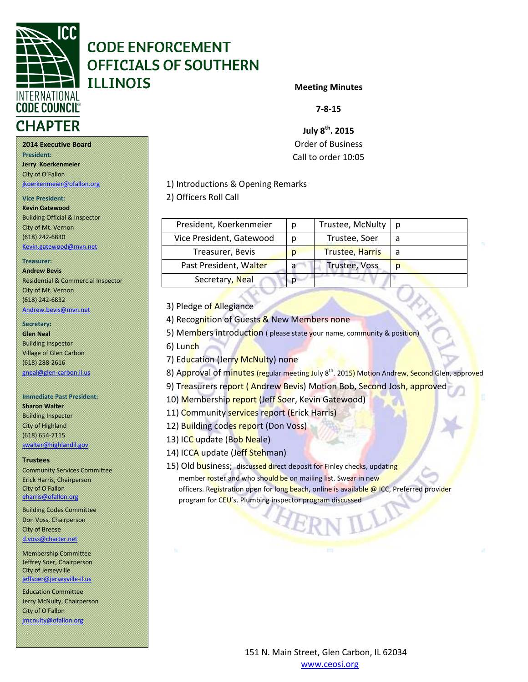

### **Meeting Minutes**

**7-8-15**

**July 8th. 2015** Order of Business Call to order 10:05

1) Introductions & Opening Remarks

### 2) Officers Roll Call

| President, Koerkenmeier  | Ŋ | Trustee, McNulty       | n |
|--------------------------|---|------------------------|---|
| Vice President, Gatewood | n | Trustee, Soer          |   |
| Treasurer, Bevis         | D | <b>Trustee, Harris</b> |   |
| Past President, Walter   | a | <b>Trustee, Voss</b>   | D |
| Secretary, Neal          |   |                        |   |

3) Pledge of Allegiance

4) Recognition of Guests & New Members none

5) Members introduction ( please state your name, community & position)

- 6) Lunch
- 7) Education (Jerry McNulty) none

8) Approval of minutes (regular meeting July 8<sup>th</sup>. 2015) Motion Andrew, Second Glen, approved

- 9) Treasurers report (Andrew Bevis) Motion Bob, Second Josh, approved
- 10) Membership report (Jeff Soer, Kevin Gatewood)
- 11) Community services report (Erick Harris)
- 12) Building codes report (Don Voss)
- 13) ICC update (Bob Neale)
- 14) ICCA update (Jeff Stehman)
- 15) Old business; discussed direct deposit for Finley checks, updating member roster and who should be on mailing list. Swear in new officers. Registration open for long beach, online is available @ ICC, Preferred provider program for CEU's. Plumbing inspector program discussed

**President: Jerry Koerkenmeier** City of O'Fallon

[jkoerkenmeier@ofallon.org](mailto:jkoerkenmeier@ofallon.org)

# **Vice President:**

**Kevin Gatewood** Building Official & Inspector City of Mt. Vernon (618) 242-6830 [Kevin.gatewood@mvn.net](mailto:Kevin.gatewood@mvn.net)

### **Treasurer:**

**Andrew Bevis** Residential & Commercial Inspector City of Mt. Vernon (618) 242-6832 [Andrew.bevis@mvn.net](mailto:Andrew.bevis@mvn.net)

### **Secretary:**

**Glen Neal** Building Inspector Village of Glen Carbon (618) 288-2616 [gneal@glen-carbon.il.us](mailto:gneal@glen-carbon.il.us) 

### **Immediate Past President:**

**Sharon Walter** Building Inspector City of Highland (618) 654-7115 [swalter@highlandil.gov](mailto:swalter@highlandil.gov) 

#### **Trustees**

Community Services Committee Erick Harris, Chairperson City of O'Fallon [eharris@ofallon.org](mailto:eharris@ofallon.org) 

Building Codes Committee Don Voss, Chairperson City of Breese [d.voss@charter.net](mailto:d.voss@charter.net)

Membership Committee Jeffrey Soer, Chairperson City of Jerseyville [jeffsoer@jerseyville-il.us](mailto:jeffsoer@jerseyville-il.us)

Education Committee Jerry McNulty, Chairperson City of O'Fallon [jmcnulty@ofallon.org](mailto:jmcnulty@ofallon.org)

> 151 N. Main Street, Glen Carbon, IL 62034 www.ceosi.org